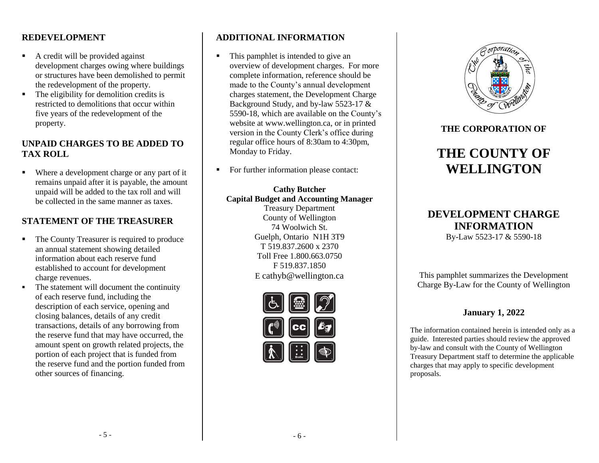#### **REDEVELOPMENT**

- A credit will be provided against development charges owing where buildings or structures have been demolished to permit the redevelopment of the property.
- The eligibility for demolition credits is restricted to demolitions that occur within five years of the redevelopment of the property.

#### **UNPAID CHARGES TO BE ADDED TO TAX ROLL**

Where a development charge or any part of it remains unpaid after it is payable, the amount unpaid will be added to the tax roll and will be collected in the same manner as taxes.

# **STATEMENT OF THE TREASURER**

- The County Treasurer is required to produce an annual statement showing detailed information about each reserve fund established to account for development charge revenues.
- The statement will document the continuity of each reserve fund, including the description of each service, opening and closing balances, details of any credit transactions, details of any borrowing from the reserve fund that may have occurred, the amount spent on growth related projects, the portion of each project that is funded from the reserve fund and the portion funded from other sources of financing.

# **ADDITIONAL INFORMATION**

- This pamphlet is intended to give an overview of development charges. For more complete information, reference should be made to the County's annual development charges statement, the Development Charge Background Study, and by-law 5523-17 & 5590-18, which are available on the County's website at www.wellington.ca, or in printed version in the County Clerk's office during regular office hours of 8:30am to 4:30pm, Monday to Friday.
- For further information please contact:

#### **Cathy Butcher Capital Budget and Accounting Manager** Treasury Department County of Wellington 74 Woolwich St. Guelph, Ontario N1H 3T9 T 519.837.2600 x 2370

Toll Free 1.800.663.0750 F 519.837.1850 E cathyb@wellington.ca





#### **THE CORPORATION OF**

# **THE COUNTY OF WELLINGTON**

# **DEVELOPMENT CHARGE INFORMATION**

By-Law 5523-17 & 5590-18

This pamphlet summarizes the Development Charge By-Law for the County of Wellington

## **January 1, 2022**

The information contained herein is intended only as a guide. Interested parties should review the approved by-law and consult with the County of Wellington Treasury Department staff to determine the applicable charges that may apply to specific development proposals.